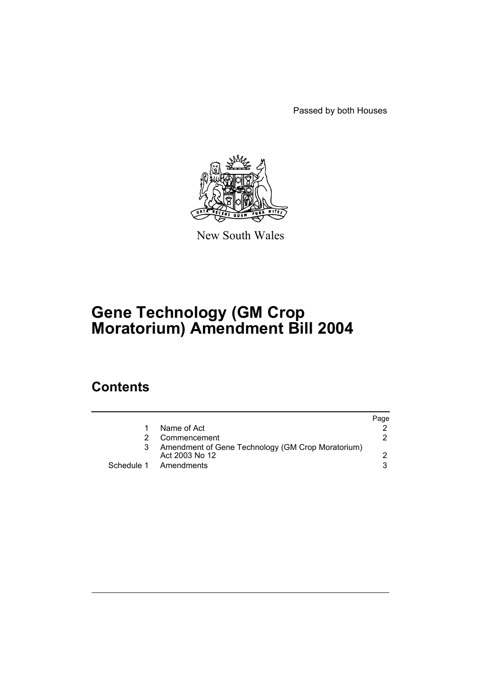Passed by both Houses



New South Wales

# **Gene Technology (GM Crop Moratorium) Amendment Bill 2004**

## **Contents**

|    |                                                                     | Page |
|----|---------------------------------------------------------------------|------|
| 1. | Name of Act                                                         |      |
| 2. | Commencement                                                        | 2    |
| 3  | Amendment of Gene Technology (GM Crop Moratorium)<br>Act 2003 No 12 |      |
|    | Schedule 1 Amendments                                               |      |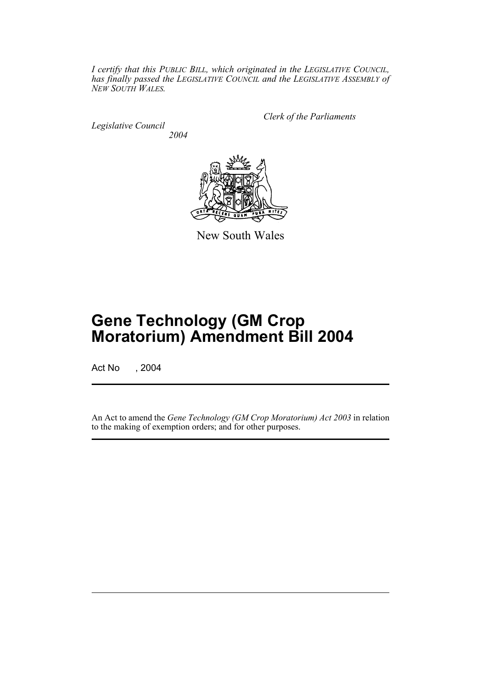*I certify that this PUBLIC BILL, which originated in the LEGISLATIVE COUNCIL, has finally passed the LEGISLATIVE COUNCIL and the LEGISLATIVE ASSEMBLY of NEW SOUTH WALES.*

*Legislative Council 2004* *Clerk of the Parliaments*



New South Wales

# **Gene Technology (GM Crop Moratorium) Amendment Bill 2004**

Act No , 2004

An Act to amend the *Gene Technology (GM Crop Moratorium) Act 2003* in relation to the making of exemption orders; and for other purposes.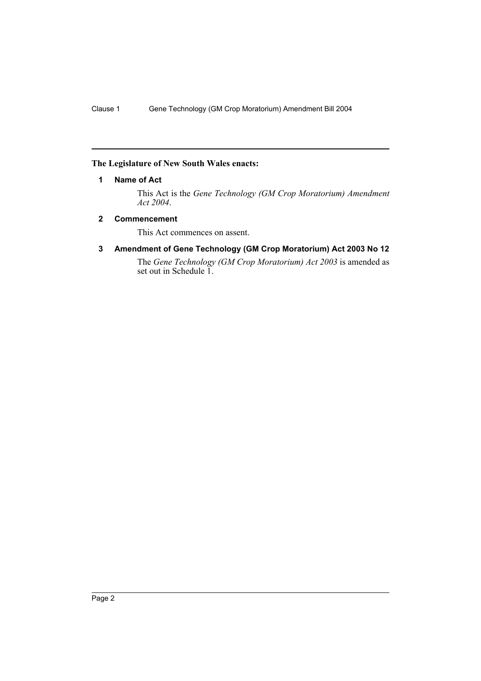#### **The Legislature of New South Wales enacts:**

#### **1 Name of Act**

This Act is the *Gene Technology (GM Crop Moratorium) Amendment Act 2004*.

#### **2 Commencement**

This Act commences on assent.

#### **3 Amendment of Gene Technology (GM Crop Moratorium) Act 2003 No 12**

The *Gene Technology (GM Crop Moratorium) Act 2003* is amended as set out in Schedule 1.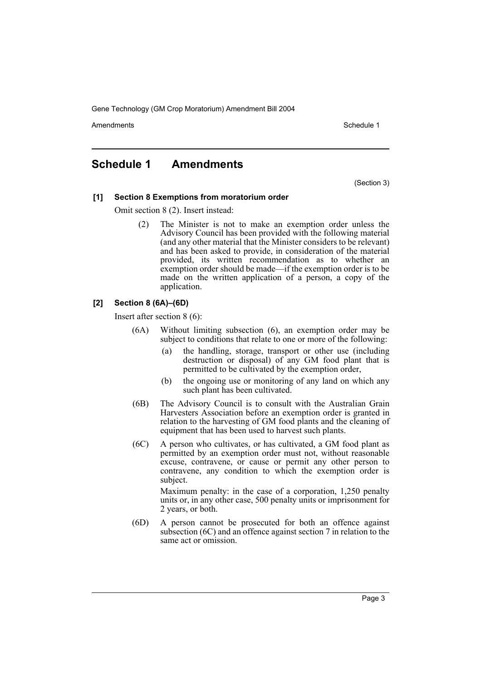Gene Technology (GM Crop Moratorium) Amendment Bill 2004

Amendments **Schedule 1** and the set of the set of the set of the set of the set of the set of the set of the set of the set of the set of the set of the set of the set of the set of the set of the set of the set of the set

### **Schedule 1 Amendments**

(Section 3)

#### **[1] Section 8 Exemptions from moratorium order**

Omit section 8 (2). Insert instead:

(2) The Minister is not to make an exemption order unless the Advisory Council has been provided with the following material (and any other material that the Minister considers to be relevant) and has been asked to provide, in consideration of the material provided, its written recommendation as to whether an exemption order should be made—if the exemption order is to be made on the written application of a person, a copy of the application.

#### **[2] Section 8 (6A)–(6D)**

Insert after section 8 (6):

- (6A) Without limiting subsection (6), an exemption order may be subject to conditions that relate to one or more of the following:
	- (a) the handling, storage, transport or other use (including destruction or disposal) of any GM food plant that is permitted to be cultivated by the exemption order,
	- (b) the ongoing use or monitoring of any land on which any such plant has been cultivated.
- (6B) The Advisory Council is to consult with the Australian Grain Harvesters Association before an exemption order is granted in relation to the harvesting of GM food plants and the cleaning of equipment that has been used to harvest such plants.
- (6C) A person who cultivates, or has cultivated, a GM food plant as permitted by an exemption order must not, without reasonable excuse, contravene, or cause or permit any other person to contravene, any condition to which the exemption order is subject.

Maximum penalty: in the case of a corporation, 1,250 penalty units or, in any other case, 500 penalty units or imprisonment for 2 years, or both.

(6D) A person cannot be prosecuted for both an offence against subsection (6C) and an offence against section 7 in relation to the same act or omission.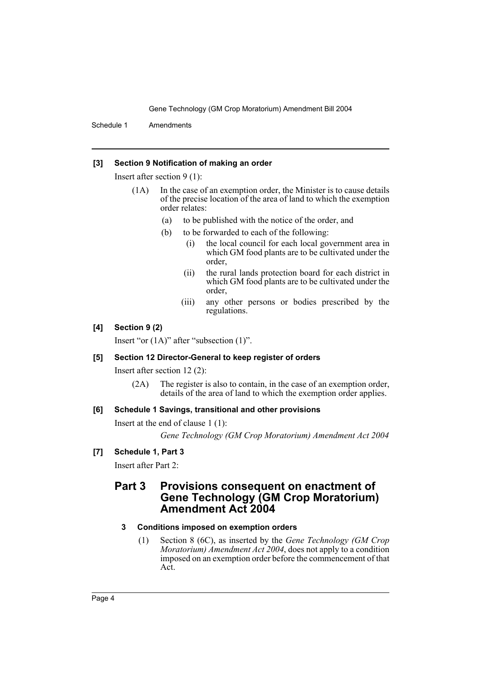Gene Technology (GM Crop Moratorium) Amendment Bill 2004

Schedule 1 Amendments

#### **[3] Section 9 Notification of making an order**

Insert after section 9 (1):

- (1A) In the case of an exemption order, the Minister is to cause details of the precise location of the area of land to which the exemption order relates:
	- (a) to be published with the notice of the order, and
	- (b) to be forwarded to each of the following:
		- (i) the local council for each local government area in which GM food plants are to be cultivated under the order,
		- (ii) the rural lands protection board for each district in which GM food plants are to be cultivated under the order,
		- (iii) any other persons or bodies prescribed by the regulations.

#### **[4] Section 9 (2)**

Insert "or (1A)" after "subsection (1)".

#### **[5] Section 12 Director-General to keep register of orders**

Insert after section 12 (2):

(2A) The register is also to contain, in the case of an exemption order, details of the area of land to which the exemption order applies.

#### **[6] Schedule 1 Savings, transitional and other provisions**

Insert at the end of clause 1 (1):

*Gene Technology (GM Crop Moratorium) Amendment Act 2004*

#### **[7] Schedule 1, Part 3**

Insert after Part 2:

### **Part 3 Provisions consequent on enactment of Gene Technology (GM Crop Moratorium) Amendment Act 2004**

#### **3 Conditions imposed on exemption orders**

(1) Section 8 (6C), as inserted by the *Gene Technology (GM Crop Moratorium) Amendment Act 2004*, does not apply to a condition imposed on an exemption order before the commencement of that Act.